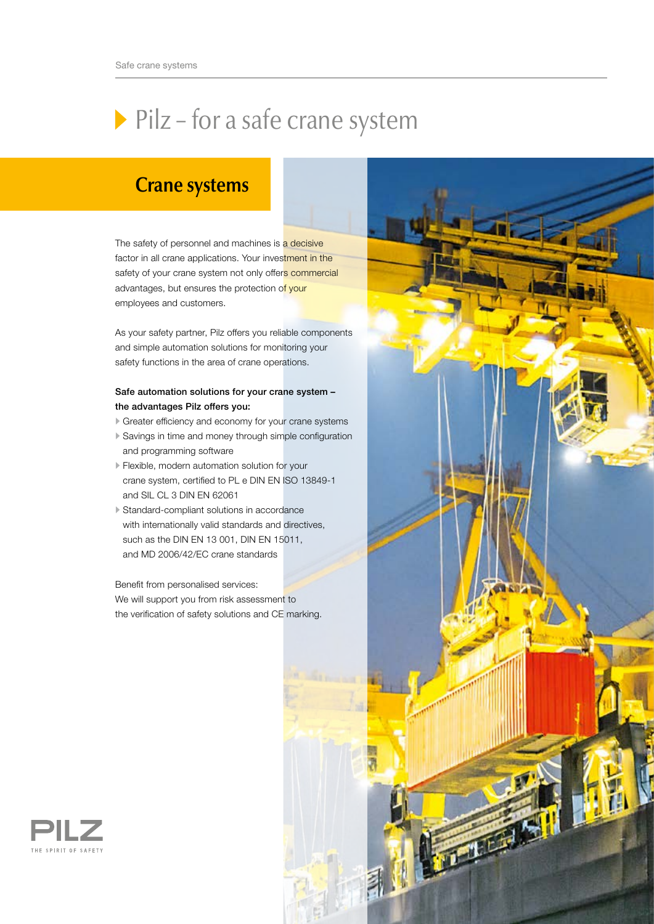# Pilz – for a safe crane system

## **Crane systems**

The safety of personnel and machines is a decisive factor in all crane applications. Your investment in the safety of your crane system not only offers commercial advantages, but ensures the protection of your employees and customers.

As your safety partner, Pilz offers you reliable components and simple automation solutions for monitoring your safety functions in the area of crane operations.

### Safe automation solutions for your crane system – the advantages Pilz offers you:

- Greater efficiency and economy for your crane systems
- Savings in time and money through simple configuration and programming software
- Flexible, modern automation solution for your crane system, certified to PL e DIN EN ISO 13849-1 and SIL CL 3 DIN EN 62061
- Standard-compliant solutions in accordance with internationally valid standards and directives, such as the DIN EN 13 001, DIN EN 15011, and MD 2006/42/EC crane standards

Benefit from personalised services: We will support you from risk assessment to the verification of safety solutions and CE marking.



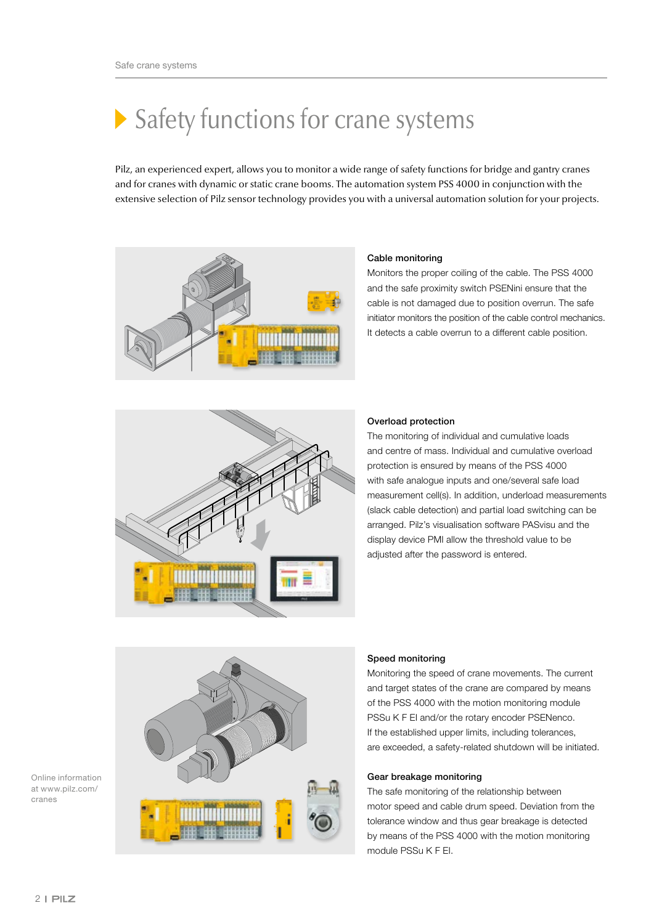# Safety functions for crane systems

Pilz, an experienced expert, allows you to monitor a wide range of safety functions for bridge and gantry cranes and for cranes with dynamic or static crane booms. The automation system PSS 4000 in conjunction with the extensive selection of Pilz sensor technology provides you with a universal automation solution for your projects.



### Cable monitoring

Monitors the proper coiling of the cable. The PSS 4000 and the safe proximity switch PSENini ensure that the cable is not damaged due to position overrun. The safe initiator monitors the position of the cable control mechanics. It detects a cable overrun to a different cable position.



### Overload protection

The monitoring of individual and cumulative loads and centre of mass. Individual and cumulative overload protection is ensured by means of the PSS 4000 with safe analogue inputs and one/several safe load measurement cell(s). In addition, underload measurements (slack cable detection) and partial load switching can be arranged. Pilz's visualisation software PASvisu and the display device PMI allow the threshold value to be adjusted after the password is entered.



### Speed monitoring

Monitoring the speed of crane movements. The current and target states of the crane are compared by means of the PSS 4000 with the motion monitoring module PSSu K F EI and/or the rotary encoder PSENenco. If the established upper limits, including tolerances, are exceeded, a safety-related shutdown will be initiated.

### Gear breakage monitoring

The safe monitoring of the relationship between motor speed and cable drum speed. Deviation from the tolerance window and thus gear breakage is detected by means of the PSS 4000 with the motion monitoring module PSSu K F EI.

Online information at www.pilz.com/ cranes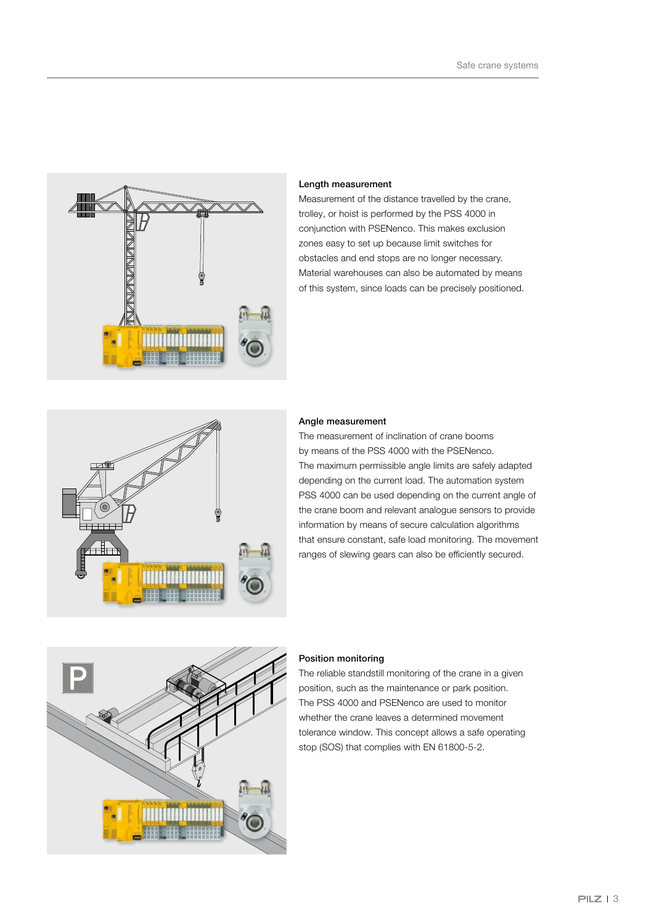

### Length measurement

Measurement of the distance travelled by the crane, trolley, or hoist is performed by the PSS 4000 in conjunction with PSENenco. This makes exclusion zones easy to set up because limit switches for obstacles and end stops are no longer necessary. Material warehouses can also be automated by means of this system, since loads can be precisely positioned.



#### Angle measurement

The measurement of inclination of crane booms by means of the PSS 4000 with the PSENenco. The maximum permissible angle limits are safely adapted depending on the current load. The automation system PSS 4000 can be used depending on the current angle of the crane boom and relevant analogue sensors to provide information by means of secure calculation algorithms that ensure constant, safe load monitoring. The movement ranges of slewing gears can also be efficiently secured.



### Position monitoring

The reliable standstill monitoring of the crane in a given position, such as the maintenance or park position. The PSS 4000 and PSENenco are used to monitor whether the crane leaves a determined movement tolerance window. This concept allows a safe operating stop (SOS) that complies with EN 61800-5-2.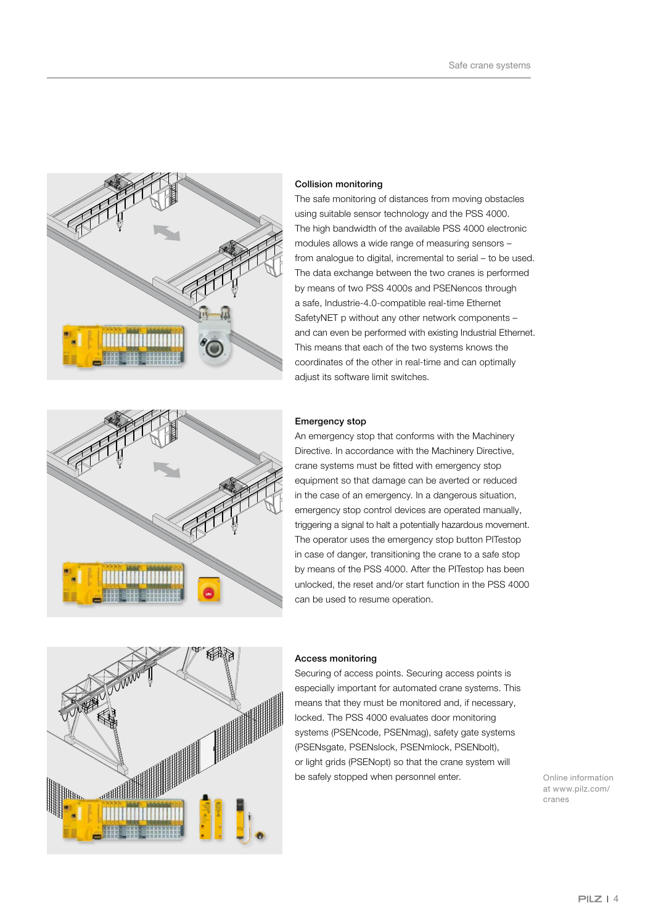

### Collision monitoring

The safe monitoring of distances from moving obstacles using suitable sensor technology and the PSS 4000. The high bandwidth of the available PSS 4000 electronic modules allows a wide range of measuring sensors – from analogue to digital, incremental to serial – to be used. The data exchange between the two cranes is performed by means of two PSS 4000s and PSENencos through a safe, Industrie-4.0-compatible real-time Ethernet SafetyNET p without any other network components – and can even be performed with existing Industrial Ethernet. This means that each of the two systems knows the coordinates of the other in real-time and can optimally adjust its software limit switches.



#### Emergency stop

An emergency stop that conforms with the Machinery Directive. In accordance with the Machinery Directive, crane systems must be fitted with emergency stop equipment so that damage can be averted or reduced in the case of an emergency. In a dangerous situation, emergency stop control devices are operated manually, triggering a signal to halt a potentially hazardous movement. The operator uses the emergency stop button PITestop in case of danger, transitioning the crane to a safe stop by means of the PSS 4000. After the PITestop has been unlocked, the reset and/or start function in the PSS 4000 can be used to resume operation.



### Access monitoring

Securing of access points. Securing access points is especially important for automated crane systems. This means that they must be monitored and, if necessary, locked. The PSS 4000 evaluates door monitoring systems (PSENcode, PSENmag), safety gate systems (PSENsgate, PSENslock, PSENmlock, PSENbolt), or light grids (PSENopt) so that the crane system will be safely stopped when personnel enter.

Online information at www.pilz.com/ cranes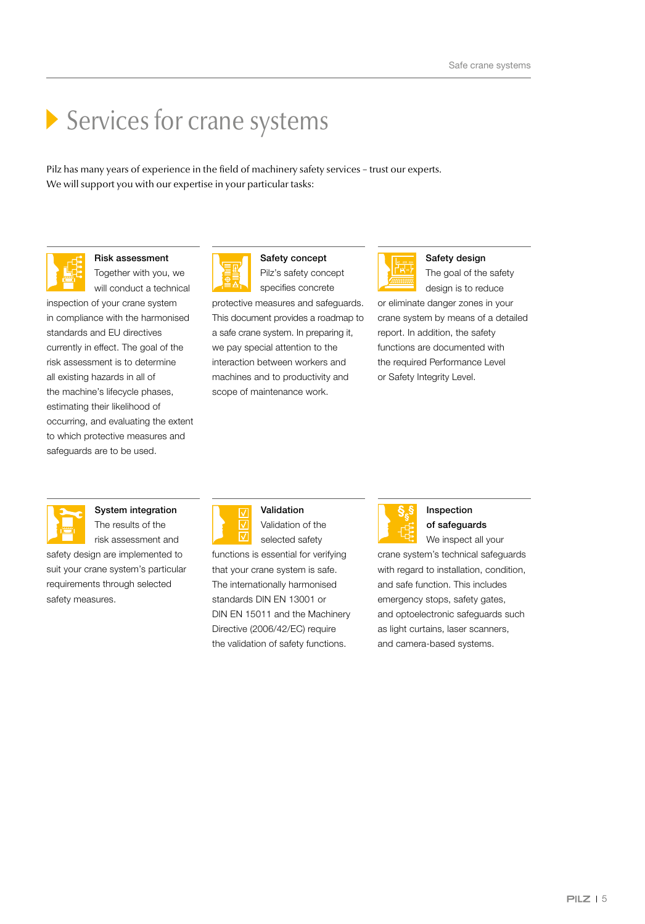# Services for crane systems

Pilz has many years of experience in the field of machinery safety services – trust our experts. We will support you with our expertise in your particular tasks:



### Risk assessment

Together with you, we will conduct a technical

inspection of your crane system in compliance with the harmonised standards and EU directives currently in effect. The goal of the risk assessment is to determine all existing hazards in all of the machine's lifecycle phases, estimating their likelihood of occurring, and evaluating the extent to which protective measures and safeguards are to be used.



### Safety concept

Pilz's safety concept specifies concrete

protective measures and safeguards. This document provides a roadmap to a safe crane system. In preparing it, we pay special attention to the interaction between workers and machines and to productivity and scope of maintenance work.



### Safety design

The goal of the safety design is to reduce

or eliminate danger zones in your crane system by means of a detailed report. In addition, the safety functions are documented with the required Performance Level or Safety Integrity Level.



### System integration The results of the

risk assessment and safety design are implemented to suit your crane system's particular requirements through selected safety measures.



### Validation Validation of the

 $\overline{\vee}$ selected safety functions is essential for verifying that your crane system is safe. The internationally harmonised standards DIN EN 13001 or DIN EN 15011 and the Machinery Directive (2006/42/EC) require the validation of safety functions.



### Inspection of safeguards

We inspect all your crane system's technical safeguards with regard to installation, condition, and safe function. This includes emergency stops, safety gates, and optoelectronic safeguards such as light curtains, laser scanners, and camera-based systems.